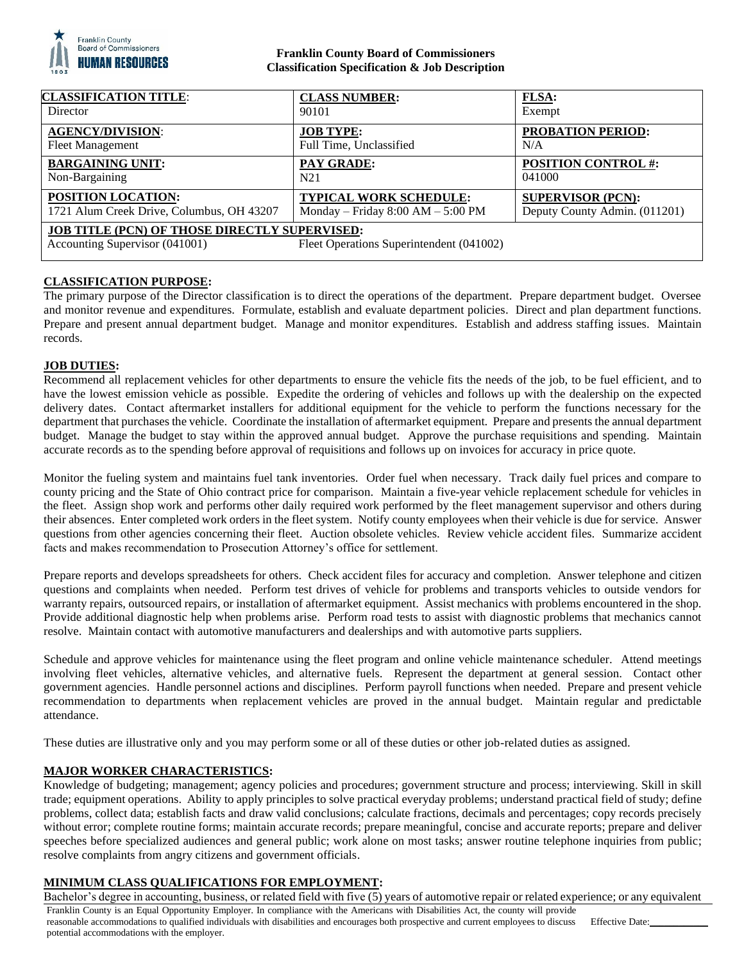

### **Franklin County Board of Commissioners Classification Specification & Job Description**

| <b>CLASSIFICATION TITLE:</b>                         | <b>CLASS NUMBER:</b>                     | <b>FLSA:</b>                  |
|------------------------------------------------------|------------------------------------------|-------------------------------|
| Director                                             | 90101                                    | Exempt                        |
| <b>AGENCY/DIVISION:</b>                              | <b>JOB TYPE:</b>                         | <b>PROBATION PERIOD:</b>      |
| <b>Fleet Management</b>                              | Full Time, Unclassified                  | N/A                           |
| <b>BARGAINING UNIT:</b>                              | PAY GRADE:                               | <b>POSITION CONTROL #:</b>    |
| Non-Bargaining                                       | N <sub>21</sub>                          | 041000                        |
| POSITION LOCATION:                                   | <b>TYPICAL WORK SCHEDULE:</b>            | <b>SUPERVISOR (PCN):</b>      |
| 1721 Alum Creek Drive, Columbus, OH 43207            | Monday – Friday $8:00 AM - 5:00 PM$      | Deputy County Admin. (011201) |
| <b>JOB TITLE (PCN) OF THOSE DIRECTLY SUPERVISED:</b> |                                          |                               |
| Accounting Supervisor (041001)                       | Fleet Operations Superintendent (041002) |                               |

# **CLASSIFICATION PURPOSE:**

The primary purpose of the Director classification is to direct the operations of the department. Prepare department budget. Oversee and monitor revenue and expenditures. Formulate, establish and evaluate department policies. Direct and plan department functions. Prepare and present annual department budget. Manage and monitor expenditures. Establish and address staffing issues. Maintain records.

# **JOB DUTIES:**

Recommend all replacement vehicles for other departments to ensure the vehicle fits the needs of the job, to be fuel efficient, and to have the lowest emission vehicle as possible. Expedite the ordering of vehicles and follows up with the dealership on the expected delivery dates. Contact aftermarket installers for additional equipment for the vehicle to perform the functions necessary for the department that purchases the vehicle. Coordinate the installation of aftermarket equipment. Prepare and presents the annual department budget. Manage the budget to stay within the approved annual budget. Approve the purchase requisitions and spending. Maintain accurate records as to the spending before approval of requisitions and follows up on invoices for accuracy in price quote.

Monitor the fueling system and maintains fuel tank inventories. Order fuel when necessary. Track daily fuel prices and compare to county pricing and the State of Ohio contract price for comparison. Maintain a five-year vehicle replacement schedule for vehicles in the fleet. Assign shop work and performs other daily required work performed by the fleet management supervisor and others during their absences. Enter completed work orders in the fleet system. Notify county employees when their vehicle is due for service. Answer questions from other agencies concerning their fleet. Auction obsolete vehicles. Review vehicle accident files. Summarize accident facts and makes recommendation to Prosecution Attorney's office for settlement.

Prepare reports and develops spreadsheets for others. Check accident files for accuracy and completion. Answer telephone and citizen questions and complaints when needed. Perform test drives of vehicle for problems and transports vehicles to outside vendors for warranty repairs, outsourced repairs, or installation of aftermarket equipment. Assist mechanics with problems encountered in the shop. Provide additional diagnostic help when problems arise. Perform road tests to assist with diagnostic problems that mechanics cannot resolve. Maintain contact with automotive manufacturers and dealerships and with automotive parts suppliers.

Schedule and approve vehicles for maintenance using the fleet program and online vehicle maintenance scheduler. Attend meetings involving fleet vehicles, alternative vehicles, and alternative fuels. Represent the department at general session. Contact other government agencies. Handle personnel actions and disciplines. Perform payroll functions when needed. Prepare and present vehicle recommendation to departments when replacement vehicles are proved in the annual budget. Maintain regular and predictable attendance.

These duties are illustrative only and you may perform some or all of these duties or other job-related duties as assigned.

### **MAJOR WORKER CHARACTERISTICS:**

Knowledge of budgeting; management; agency policies and procedures; government structure and process; interviewing. Skill in skill trade; equipment operations. Ability to apply principles to solve practical everyday problems; understand practical field of study; define problems, collect data; establish facts and draw valid conclusions; calculate fractions, decimals and percentages; copy records precisely without error; complete routine forms; maintain accurate records; prepare meaningful, concise and accurate reports; prepare and deliver speeches before specialized audiences and general public; work alone on most tasks; answer routine telephone inquiries from public; resolve complaints from angry citizens and government officials.

# **MINIMUM CLASS QUALIFICATIONS FOR EMPLOYMENT:**

Franklin County is an Equal Opportunity Employer. In compliance with the Americans with Disabilities Act, the county will provide reasonable accommodations to qualified individuals with disabilities and encourages both prospective and current employees to discuss potential accommodations with the employer. Effective Date: Bachelor's degree in accounting, business, or related field with five (5) years of automotive repair or related experience; or any equivalent